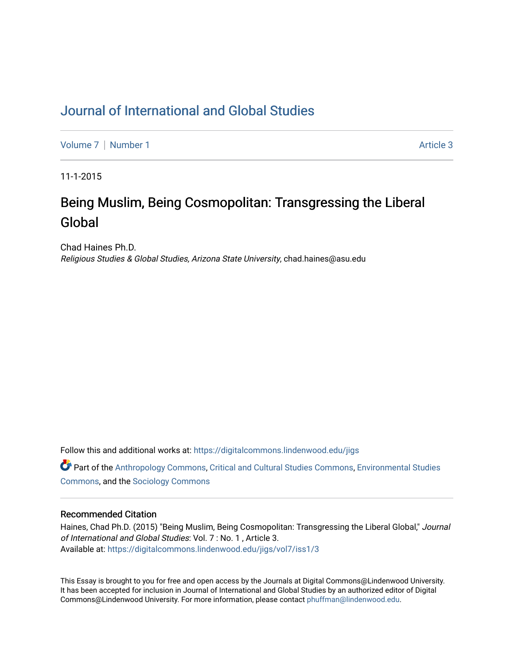## [Journal of International and Global Studies](https://digitalcommons.lindenwood.edu/jigs)

[Volume 7](https://digitalcommons.lindenwood.edu/jigs/vol7) | [Number 1](https://digitalcommons.lindenwood.edu/jigs/vol7/iss1) Article 3

11-1-2015

# Being Muslim, Being Cosmopolitan: Transgressing the Liberal Global

Chad Haines Ph.D. Religious Studies & Global Studies, Arizona State University, chad.haines@asu.edu

Follow this and additional works at: [https://digitalcommons.lindenwood.edu/jigs](https://digitalcommons.lindenwood.edu/jigs?utm_source=digitalcommons.lindenwood.edu%2Fjigs%2Fvol7%2Fiss1%2F3&utm_medium=PDF&utm_campaign=PDFCoverPages) 

**C** Part of the [Anthropology Commons](http://network.bepress.com/hgg/discipline/318?utm_source=digitalcommons.lindenwood.edu%2Fjigs%2Fvol7%2Fiss1%2F3&utm_medium=PDF&utm_campaign=PDFCoverPages), [Critical and Cultural Studies Commons](http://network.bepress.com/hgg/discipline/328?utm_source=digitalcommons.lindenwood.edu%2Fjigs%2Fvol7%2Fiss1%2F3&utm_medium=PDF&utm_campaign=PDFCoverPages), Environmental Studies [Commons](http://network.bepress.com/hgg/discipline/1333?utm_source=digitalcommons.lindenwood.edu%2Fjigs%2Fvol7%2Fiss1%2F3&utm_medium=PDF&utm_campaign=PDFCoverPages), and the [Sociology Commons](http://network.bepress.com/hgg/discipline/416?utm_source=digitalcommons.lindenwood.edu%2Fjigs%2Fvol7%2Fiss1%2F3&utm_medium=PDF&utm_campaign=PDFCoverPages)

#### Recommended Citation

Haines, Chad Ph.D. (2015) "Being Muslim, Being Cosmopolitan: Transgressing the Liberal Global," Journal of International and Global Studies: Vol. 7 : No. 1 , Article 3. Available at: [https://digitalcommons.lindenwood.edu/jigs/vol7/iss1/3](https://digitalcommons.lindenwood.edu/jigs/vol7/iss1/3?utm_source=digitalcommons.lindenwood.edu%2Fjigs%2Fvol7%2Fiss1%2F3&utm_medium=PDF&utm_campaign=PDFCoverPages)

This Essay is brought to you for free and open access by the Journals at Digital Commons@Lindenwood University. It has been accepted for inclusion in Journal of International and Global Studies by an authorized editor of Digital Commons@Lindenwood University. For more information, please contact [phuffman@lindenwood.edu](mailto:phuffman@lindenwood.edu).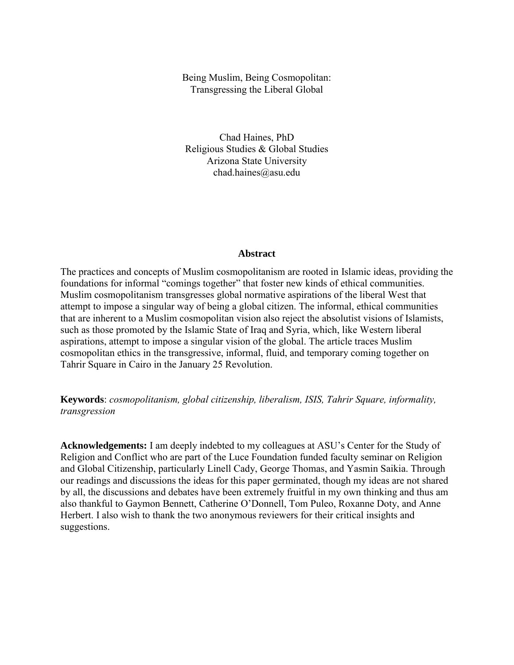## Being Muslim, Being Cosmopolitan: Transgressing the Liberal Global

Chad Haines, PhD Religious Studies & Global Studies Arizona State University chad.haines@asu.edu

## **Abstract**

The practices and concepts of Muslim cosmopolitanism are rooted in Islamic ideas, providing the foundations for informal "comings together" that foster new kinds of ethical communities. Muslim cosmopolitanism transgresses global normative aspirations of the liberal West that attempt to impose a singular way of being a global citizen. The informal, ethical communities that are inherent to a Muslim cosmopolitan vision also reject the absolutist visions of Islamists, such as those promoted by the Islamic State of Iraq and Syria, which, like Western liberal aspirations, attempt to impose a singular vision of the global. The article traces Muslim cosmopolitan ethics in the transgressive, informal, fluid, and temporary coming together on Tahrir Square in Cairo in the January 25 Revolution.

**Keywords**: *cosmopolitanism, global citizenship, liberalism, ISIS, Tahrir Square, informality, transgression*

**Acknowledgements:** I am deeply indebted to my colleagues at ASU's Center for the Study of Religion and Conflict who are part of the Luce Foundation funded faculty seminar on Religion and Global Citizenship, particularly Linell Cady, George Thomas, and Yasmin Saikia. Through our readings and discussions the ideas for this paper germinated, though my ideas are not shared by all, the discussions and debates have been extremely fruitful in my own thinking and thus am also thankful to Gaymon Bennett, Catherine O'Donnell, Tom Puleo, Roxanne Doty, and Anne Herbert. I also wish to thank the two anonymous reviewers for their critical insights and suggestions.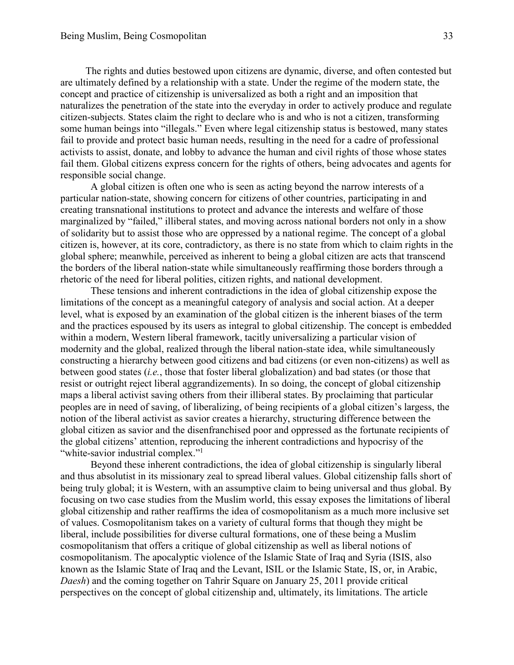The rights and duties bestowed upon citizens are dynamic, diverse, and often contested but are ultimately defined by a relationship with a state. Under the regime of the modern state, the concept and practice of citizenship is universalized as both a right and an imposition that naturalizes the penetration of the state into the everyday in order to actively produce and regulate citizen-subjects. States claim the right to declare who is and who is not a citizen, transforming some human beings into "illegals." Even where legal citizenship status is bestowed, many states fail to provide and protect basic human needs, resulting in the need for a cadre of professional activists to assist, donate, and lobby to advance the human and civil rights of those whose states fail them. Global citizens express concern for the rights of others, being advocates and agents for responsible social change.

A global citizen is often one who is seen as acting beyond the narrow interests of a particular nation-state, showing concern for citizens of other countries, participating in and creating transnational institutions to protect and advance the interests and welfare of those marginalized by "failed," illiberal states, and moving across national borders not only in a show of solidarity but to assist those who are oppressed by a national regime. The concept of a global citizen is, however, at its core, contradictory, as there is no state from which to claim rights in the global sphere; meanwhile, perceived as inherent to being a global citizen are acts that transcend the borders of the liberal nation-state while simultaneously reaffirming those borders through a rhetoric of the need for liberal polities, citizen rights, and national development.

These tensions and inherent contradictions in the idea of global citizenship expose the limitations of the concept as a meaningful category of analysis and social action. At a deeper level, what is exposed by an examination of the global citizen is the inherent biases of the term and the practices espoused by its users as integral to global citizenship. The concept is embedded within a modern, Western liberal framework, tacitly universalizing a particular vision of modernity and the global, realized through the liberal nation-state idea, while simultaneously constructing a hierarchy between good citizens and bad citizens (or even non-citizens) as well as between good states (*i.e.*, those that foster liberal globalization) and bad states (or those that resist or outright reject liberal aggrandizements). In so doing, the concept of global citizenship maps a liberal activist saving others from their illiberal states. By proclaiming that particular peoples are in need of saving, of liberalizing, of being recipients of a global citizen's largess, the notion of the liberal activist as savior creates a hierarchy, structuring difference between the global citizen as savior and the disenfranchised poor and oppressed as the fortunate recipients of the global citizens' attention, reproducing the inherent contradictions and hypocrisy of the "white-savior industrial complex."<sup>1</sup>

Beyond these inherent contradictions, the idea of global citizenship is singularly liberal and thus absolutist in its missionary zeal to spread liberal values. Global citizenship falls short of being truly global; it is Western, with an assumptive claim to being universal and thus global. By focusing on two case studies from the Muslim world, this essay exposes the limitations of liberal global citizenship and rather reaffirms the idea of cosmopolitanism as a much more inclusive set of values. Cosmopolitanism takes on a variety of cultural forms that though they might be liberal, include possibilities for diverse cultural formations, one of these being a Muslim cosmopolitanism that offers a critique of global citizenship as well as liberal notions of cosmopolitanism. The apocalyptic violence of the Islamic State of Iraq and Syria (ISIS, also known as the Islamic State of Iraq and the Levant, ISIL or the Islamic State, IS, or, in Arabic, *Daesh*) and the coming together on Tahrir Square on January 25, 2011 provide critical perspectives on the concept of global citizenship and, ultimately, its limitations. The article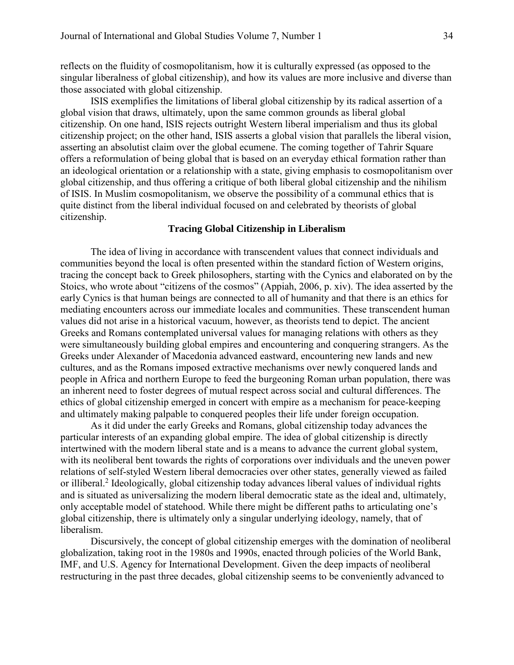reflects on the fluidity of cosmopolitanism, how it is culturally expressed (as opposed to the singular liberalness of global citizenship), and how its values are more inclusive and diverse than those associated with global citizenship.

ISIS exemplifies the limitations of liberal global citizenship by its radical assertion of a global vision that draws, ultimately, upon the same common grounds as liberal global citizenship. On one hand, ISIS rejects outright Western liberal imperialism and thus its global citizenship project; on the other hand, ISIS asserts a global vision that parallels the liberal vision, asserting an absolutist claim over the global ecumene. The coming together of Tahrir Square offers a reformulation of being global that is based on an everyday ethical formation rather than an ideological orientation or a relationship with a state, giving emphasis to cosmopolitanism over global citizenship, and thus offering a critique of both liberal global citizenship and the nihilism of ISIS. In Muslim cosmopolitanism, we observe the possibility of a communal ethics that is quite distinct from the liberal individual focused on and celebrated by theorists of global citizenship.

## **Tracing Global Citizenship in Liberalism**

The idea of living in accordance with transcendent values that connect individuals and communities beyond the local is often presented within the standard fiction of Western origins, tracing the concept back to Greek philosophers, starting with the Cynics and elaborated on by the Stoics, who wrote about "citizens of the cosmos" (Appiah, 2006, p. xiv). The idea asserted by the early Cynics is that human beings are connected to all of humanity and that there is an ethics for mediating encounters across our immediate locales and communities. These transcendent human values did not arise in a historical vacuum, however, as theorists tend to depict. The ancient Greeks and Romans contemplated universal values for managing relations with others as they were simultaneously building global empires and encountering and conquering strangers. As the Greeks under Alexander of Macedonia advanced eastward, encountering new lands and new cultures, and as the Romans imposed extractive mechanisms over newly conquered lands and people in Africa and northern Europe to feed the burgeoning Roman urban population, there was an inherent need to foster degrees of mutual respect across social and cultural differences. The ethics of global citizenship emerged in concert with empire as a mechanism for peace-keeping and ultimately making palpable to conquered peoples their life under foreign occupation.

As it did under the early Greeks and Romans, global citizenship today advances the particular interests of an expanding global empire. The idea of global citizenship is directly intertwined with the modern liberal state and is a means to advance the current global system, with its neoliberal bent towards the rights of corporations over individuals and the uneven power relations of self-styled Western liberal democracies over other states, generally viewed as failed or illiberal.<sup>2</sup> Ideologically, global citizenship today advances liberal values of individual rights and is situated as universalizing the modern liberal democratic state as the ideal and, ultimately, only acceptable model of statehood. While there might be different paths to articulating one's global citizenship, there is ultimately only a singular underlying ideology, namely, that of liberalism.

Discursively, the concept of global citizenship emerges with the domination of neoliberal globalization, taking root in the 1980s and 1990s, enacted through policies of the World Bank, IMF, and U.S. Agency for International Development. Given the deep impacts of neoliberal restructuring in the past three decades, global citizenship seems to be conveniently advanced to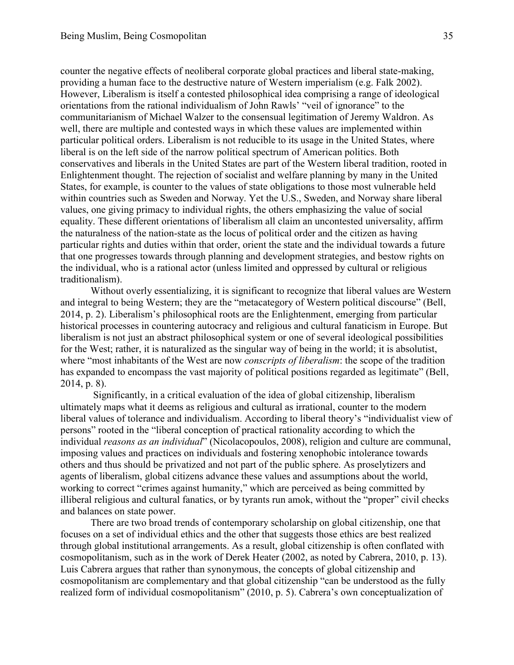counter the negative effects of neoliberal corporate global practices and liberal state-making, providing a human face to the destructive nature of Western imperialism (e.g. Falk 2002). However, Liberalism is itself a contested philosophical idea comprising a range of ideological orientations from the rational individualism of John Rawls' "veil of ignorance" to the communitarianism of Michael Walzer to the consensual legitimation of Jeremy Waldron. As well, there are multiple and contested ways in which these values are implemented within particular political orders. Liberalism is not reducible to its usage in the United States, where liberal is on the left side of the narrow political spectrum of American politics. Both conservatives and liberals in the United States are part of the Western liberal tradition, rooted in Enlightenment thought. The rejection of socialist and welfare planning by many in the United States, for example, is counter to the values of state obligations to those most vulnerable held within countries such as Sweden and Norway. Yet the U.S., Sweden, and Norway share liberal values, one giving primacy to individual rights, the others emphasizing the value of social equality. These different orientations of liberalism all claim an uncontested universality, affirm the naturalness of the nation-state as the locus of political order and the citizen as having particular rights and duties within that order, orient the state and the individual towards a future that one progresses towards through planning and development strategies, and bestow rights on the individual, who is a rational actor (unless limited and oppressed by cultural or religious traditionalism).

Without overly essentializing, it is significant to recognize that liberal values are Western and integral to being Western; they are the "metacategory of Western political discourse" (Bell, 2014, p. 2). Liberalism's philosophical roots are the Enlightenment, emerging from particular historical processes in countering autocracy and religious and cultural fanaticism in Europe. But liberalism is not just an abstract philosophical system or one of several ideological possibilities for the West; rather, it is naturalized as the singular way of being in the world; it is absolutist, where "most inhabitants of the West are now *conscripts of liberalism*: the scope of the tradition has expanded to encompass the vast majority of political positions regarded as legitimate" (Bell, 2014, p. 8).

Significantly, in a critical evaluation of the idea of global citizenship, liberalism ultimately maps what it deems as religious and cultural as irrational, counter to the modern liberal values of tolerance and individualism. According to liberal theory's "individualist view of persons" rooted in the "liberal conception of practical rationality according to which the individual *reasons as an individual*" (Nicolacopoulos, 2008), religion and culture are communal, imposing values and practices on individuals and fostering xenophobic intolerance towards others and thus should be privatized and not part of the public sphere. As proselytizers and agents of liberalism, global citizens advance these values and assumptions about the world, working to correct "crimes against humanity," which are perceived as being committed by illiberal religious and cultural fanatics, or by tyrants run amok, without the "proper" civil checks and balances on state power.

There are two broad trends of contemporary scholarship on global citizenship, one that focuses on a set of individual ethics and the other that suggests those ethics are best realized through global institutional arrangements. As a result, global citizenship is often conflated with cosmopolitanism, such as in the work of Derek Heater (2002, as noted by Cabrera, 2010, p. 13). Luis Cabrera argues that rather than synonymous, the concepts of global citizenship and cosmopolitanism are complementary and that global citizenship "can be understood as the fully realized form of individual cosmopolitanism" (2010, p. 5). Cabrera's own conceptualization of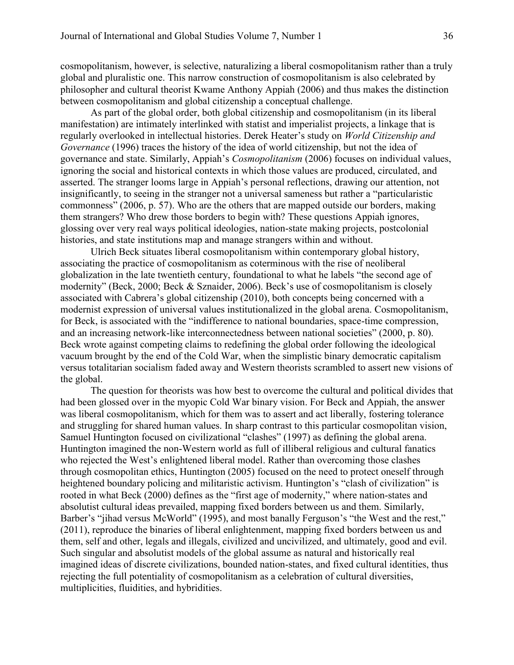cosmopolitanism, however, is selective, naturalizing a liberal cosmopolitanism rather than a truly global and pluralistic one. This narrow construction of cosmopolitanism is also celebrated by philosopher and cultural theorist Kwame Anthony Appiah (2006) and thus makes the distinction between cosmopolitanism and global citizenship a conceptual challenge.

As part of the global order, both global citizenship and cosmopolitanism (in its liberal manifestation) are intimately interlinked with statist and imperialist projects, a linkage that is regularly overlooked in intellectual histories. Derek Heater's study on *World Citizenship and Governance* (1996) traces the history of the idea of world citizenship, but not the idea of governance and state. Similarly, Appiah's *Cosmopolitanism* (2006) focuses on individual values, ignoring the social and historical contexts in which those values are produced, circulated, and asserted. The stranger looms large in Appiah's personal reflections, drawing our attention, not insignificantly, to seeing in the stranger not a universal sameness but rather a "particularistic commonness" (2006, p. 57). Who are the others that are mapped outside our borders, making them strangers? Who drew those borders to begin with? These questions Appiah ignores, glossing over very real ways political ideologies, nation-state making projects, postcolonial histories, and state institutions map and manage strangers within and without.

Ulrich Beck situates liberal cosmopolitanism within contemporary global history, associating the practice of cosmopolitanism as coterminous with the rise of neoliberal globalization in the late twentieth century, foundational to what he labels "the second age of modernity" (Beck, 2000; Beck & Sznaider, 2006). Beck's use of cosmopolitanism is closely associated with Cabrera's global citizenship (2010), both concepts being concerned with a modernist expression of universal values institutionalized in the global arena. Cosmopolitanism, for Beck, is associated with the "indifference to national boundaries, space-time compression, and an increasing network-like interconnectedness between national societies" (2000, p. 80). Beck wrote against competing claims to redefining the global order following the ideological vacuum brought by the end of the Cold War, when the simplistic binary democratic capitalism versus totalitarian socialism faded away and Western theorists scrambled to assert new visions of the global.

The question for theorists was how best to overcome the cultural and political divides that had been glossed over in the myopic Cold War binary vision. For Beck and Appiah, the answer was liberal cosmopolitanism, which for them was to assert and act liberally, fostering tolerance and struggling for shared human values. In sharp contrast to this particular cosmopolitan vision, Samuel Huntington focused on civilizational "clashes" (1997) as defining the global arena. Huntington imagined the non-Western world as full of illiberal religious and cultural fanatics who rejected the West's enlightened liberal model. Rather than overcoming those clashes through cosmopolitan ethics, Huntington (2005) focused on the need to protect oneself through heightened boundary policing and militaristic activism. Huntington's "clash of civilization" is rooted in what Beck (2000) defines as the "first age of modernity," where nation-states and absolutist cultural ideas prevailed, mapping fixed borders between us and them. Similarly, Barber's "jihad versus McWorld" (1995), and most banally Ferguson's "the West and the rest," (2011), reproduce the binaries of liberal enlightenment, mapping fixed borders between us and them, self and other, legals and illegals, civilized and uncivilized, and ultimately, good and evil. Such singular and absolutist models of the global assume as natural and historically real imagined ideas of discrete civilizations, bounded nation-states, and fixed cultural identities, thus rejecting the full potentiality of cosmopolitanism as a celebration of cultural diversities, multiplicities, fluidities, and hybridities.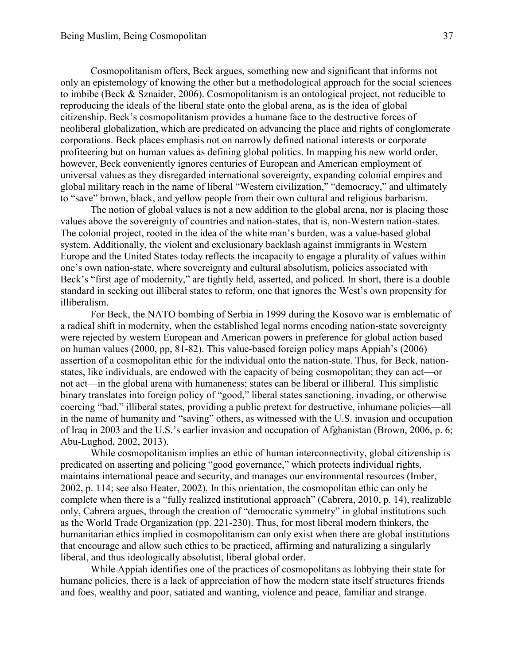Cosmopolitanism offers, Beck argues, something new and significant that informs not only an epistemology of knowing the other but a methodological approach for the social sciences to imbibe (Beck & Sznaider, 2006). Cosmopolitanism is an ontological project, not reducible to reproducing the ideals of the liberal state onto the global arena, as is the idea of global citizenship. Beck's cosmopolitanism provides a humane face to the destructive forces of neoliberal globalization, which are predicated on advancing the place and rights of conglomerate corporations. Beck places emphasis not on narrowly defined national interests or corporate profiteering but on human values as defining global politics. In mapping his new world order, however, Beck conveniently ignores centuries of European and American employment of universal values as they disregarded international sovereignty, expanding colonial empires and global military reach in the name of liberal "Western civilization," "democracy," and ultimately to "save" brown, black, and yellow people from their own cultural and religious barbarism.

The notion of global values is not a new addition to the global arena, nor is placing those values above the sovereignty of countries and nation-states, that is, non-Western nation-states. The colonial project, rooted in the idea of the white man's burden, was a value-based global system. Additionally, the violent and exclusionary backlash against immigrants in Western Europe and the United States today reflects the incapacity to engage a plurality of values within one's own nation-state, where sovereignty and cultural absolutism, policies associated with Beck's "first age of modernity," are tightly held, asserted, and policed. In short, there is a double standard in seeking out illiberal states to reform, one that ignores the West's own propensity for illiberalism.

For Beck, the NATO bombing of Serbia in 1999 during the Kosovo war is emblematic of a radical shift in modernity, when the established legal norms encoding nation-state sovereignty were rejected by western European and American powers in preference for global action based on human values (2000, pp, 81-82). This value-based foreign policy maps Appiah's (2006) assertion of a cosmopolitan ethic for the individual onto the nation-state. Thus, for Beck, nationstates, like individuals, are endowed with the capacity of being cosmopolitan; they can act—or not act—in the global arena with humaneness; states can be liberal or illiberal. This simplistic binary translates into foreign policy of "good," liberal states sanctioning, invading, or otherwise coercing "bad," illiberal states, providing a public pretext for destructive, inhumane policies—all in the name of humanity and "saving" others, as witnessed with the U.S. invasion and occupation of Iraq in 2003 and the U.S.'s earlier invasion and occupation of Afghanistan (Brown, 2006, p. 6; Abu-Lughod, 2002, 2013).

While cosmopolitanism implies an ethic of human interconnectivity, global citizenship is predicated on asserting and policing "good governance," which protects individual rights, maintains international peace and security, and manages our environmental resources (Imber, 2002, p. 114; see also Heater, 2002). In this orientation, the cosmopolitan ethic can only be complete when there is a "fully realized institutional approach" (Cabrera, 2010, p. 14), realizable only, Cabrera argues, through the creation of "democratic symmetry" in global institutions such as the World Trade Organization (pp. 221-230). Thus, for most liberal modern thinkers, the humanitarian ethics implied in cosmopolitanism can only exist when there are global institutions that encourage and allow such ethics to be practiced, affirming and naturalizing a singularly liberal, and thus ideologically absolutist, liberal global order.

While Appiah identifies one of the practices of cosmopolitans as lobbying their state for humane policies, there is a lack of appreciation of how the modern state itself structures friends and foes, wealthy and poor, satiated and wanting, violence and peace, familiar and strange.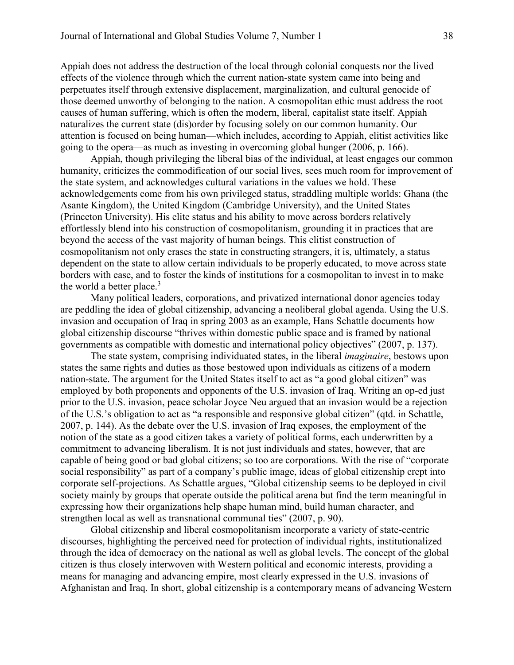Appiah does not address the destruction of the local through colonial conquests nor the lived effects of the violence through which the current nation-state system came into being and perpetuates itself through extensive displacement, marginalization, and cultural genocide of those deemed unworthy of belonging to the nation. A cosmopolitan ethic must address the root causes of human suffering, which is often the modern, liberal, capitalist state itself. Appiah naturalizes the current state (dis)order by focusing solely on our common humanity. Our attention is focused on being human—which includes, according to Appiah, elitist activities like going to the opera—as much as investing in overcoming global hunger (2006, p. 166).

Appiah, though privileging the liberal bias of the individual, at least engages our common humanity, criticizes the commodification of our social lives, sees much room for improvement of the state system, and acknowledges cultural variations in the values we hold. These acknowledgements come from his own privileged status, straddling multiple worlds: Ghana (the Asante Kingdom), the United Kingdom (Cambridge University), and the United States (Princeton University). His elite status and his ability to move across borders relatively effortlessly blend into his construction of cosmopolitanism, grounding it in practices that are beyond the access of the vast majority of human beings. This elitist construction of cosmopolitanism not only erases the state in constructing strangers, it is, ultimately, a status dependent on the state to allow certain individuals to be properly educated, to move across state borders with ease, and to foster the kinds of institutions for a cosmopolitan to invest in to make the world a better place. $3$ 

Many political leaders, corporations, and privatized international donor agencies today are peddling the idea of global citizenship, advancing a neoliberal global agenda. Using the U.S. invasion and occupation of Iraq in spring 2003 as an example, Hans Schattle documents how global citizenship discourse "thrives within domestic public space and is framed by national governments as compatible with domestic and international policy objectives" (2007, p. 137).

The state system, comprising individuated states, in the liberal *imaginaire*, bestows upon states the same rights and duties as those bestowed upon individuals as citizens of a modern nation-state. The argument for the United States itself to act as "a good global citizen" was employed by both proponents and opponents of the U.S. invasion of Iraq. Writing an op-ed just prior to the U.S. invasion, peace scholar Joyce Neu argued that an invasion would be a rejection of the U.S.'s obligation to act as "a responsible and responsive global citizen" (qtd. in Schattle, 2007, p. 144). As the debate over the U.S. invasion of Iraq exposes, the employment of the notion of the state as a good citizen takes a variety of political forms, each underwritten by a commitment to advancing liberalism. It is not just individuals and states, however, that are capable of being good or bad global citizens; so too are corporations. With the rise of "corporate social responsibility" as part of a company's public image, ideas of global citizenship crept into corporate self-projections. As Schattle argues, "Global citizenship seems to be deployed in civil society mainly by groups that operate outside the political arena but find the term meaningful in expressing how their organizations help shape human mind, build human character, and strengthen local as well as transnational communal ties" (2007, p. 90).

Global citizenship and liberal cosmopolitanism incorporate a variety of state-centric discourses, highlighting the perceived need for protection of individual rights, institutionalized through the idea of democracy on the national as well as global levels. The concept of the global citizen is thus closely interwoven with Western political and economic interests, providing a means for managing and advancing empire, most clearly expressed in the U.S. invasions of Afghanistan and Iraq. In short, global citizenship is a contemporary means of advancing Western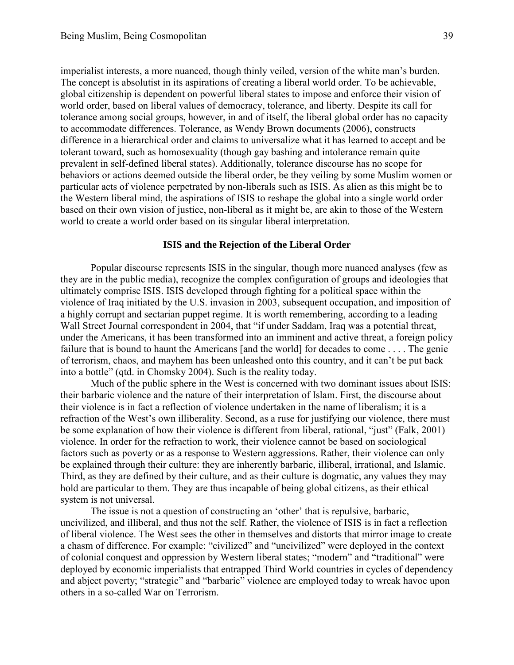imperialist interests, a more nuanced, though thinly veiled, version of the white man's burden. The concept is absolutist in its aspirations of creating a liberal world order. To be achievable, global citizenship is dependent on powerful liberal states to impose and enforce their vision of world order, based on liberal values of democracy, tolerance, and liberty. Despite its call for tolerance among social groups, however, in and of itself, the liberal global order has no capacity to accommodate differences. Tolerance, as Wendy Brown documents (2006), constructs difference in a hierarchical order and claims to universalize what it has learned to accept and be tolerant toward, such as homosexuality (though gay bashing and intolerance remain quite prevalent in self-defined liberal states). Additionally, tolerance discourse has no scope for behaviors or actions deemed outside the liberal order, be they veiling by some Muslim women or particular acts of violence perpetrated by non-liberals such as ISIS. As alien as this might be to the Western liberal mind, the aspirations of ISIS to reshape the global into a single world order based on their own vision of justice, non-liberal as it might be, are akin to those of the Western world to create a world order based on its singular liberal interpretation.

## **ISIS and the Rejection of the Liberal Order**

Popular discourse represents ISIS in the singular, though more nuanced analyses (few as they are in the public media), recognize the complex configuration of groups and ideologies that ultimately comprise ISIS. ISIS developed through fighting for a political space within the violence of Iraq initiated by the U.S. invasion in 2003, subsequent occupation, and imposition of a highly corrupt and sectarian puppet regime. It is worth remembering, according to a leading Wall Street Journal correspondent in 2004, that "if under Saddam, Iraq was a potential threat, under the Americans, it has been transformed into an imminent and active threat, a foreign policy failure that is bound to haunt the Americans [and the world] for decades to come . . . . The genie of terrorism, chaos, and mayhem has been unleashed onto this country, and it can't be put back into a bottle" (qtd. in Chomsky 2004). Such is the reality today.

Much of the public sphere in the West is concerned with two dominant issues about ISIS: their barbaric violence and the nature of their interpretation of Islam. First, the discourse about their violence is in fact a reflection of violence undertaken in the name of liberalism; it is a refraction of the West's own illiberality. Second, as a ruse for justifying our violence, there must be some explanation of how their violence is different from liberal, rational, "just" (Falk, 2001) violence. In order for the refraction to work, their violence cannot be based on sociological factors such as poverty or as a response to Western aggressions. Rather, their violence can only be explained through their culture: they are inherently barbaric, illiberal, irrational, and Islamic. Third, as they are defined by their culture, and as their culture is dogmatic, any values they may hold are particular to them. They are thus incapable of being global citizens, as their ethical system is not universal.

The issue is not a question of constructing an 'other' that is repulsive, barbaric, uncivilized, and illiberal, and thus not the self. Rather, the violence of ISIS is in fact a reflection of liberal violence. The West sees the other in themselves and distorts that mirror image to create a chasm of difference. For example: "civilized" and "uncivilized" were deployed in the context of colonial conquest and oppression by Western liberal states; "modern" and "traditional" were deployed by economic imperialists that entrapped Third World countries in cycles of dependency and abject poverty; "strategic" and "barbaric" violence are employed today to wreak havoc upon others in a so-called War on Terrorism.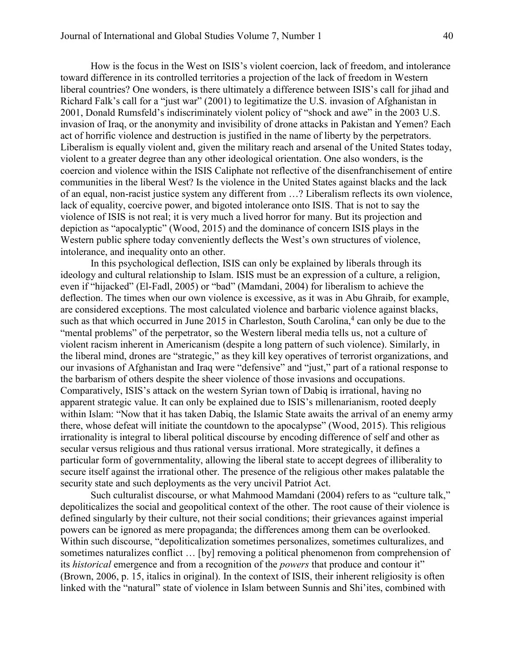How is the focus in the West on ISIS's violent coercion, lack of freedom, and intolerance toward difference in its controlled territories a projection of the lack of freedom in Western liberal countries? One wonders, is there ultimately a difference between ISIS's call for jihad and Richard Falk's call for a "just war" (2001) to legitimatize the U.S. invasion of Afghanistan in 2001, Donald Rumsfeld's indiscriminately violent policy of "shock and awe" in the 2003 U.S. invasion of Iraq, or the anonymity and invisibility of drone attacks in Pakistan and Yemen? Each act of horrific violence and destruction is justified in the name of liberty by the perpetrators. Liberalism is equally violent and, given the military reach and arsenal of the United States today, violent to a greater degree than any other ideological orientation. One also wonders, is the coercion and violence within the ISIS Caliphate not reflective of the disenfranchisement of entire communities in the liberal West? Is the violence in the United States against blacks and the lack of an equal, non-racist justice system any different from …? Liberalism reflects its own violence, lack of equality, coercive power, and bigoted intolerance onto ISIS. That is not to say the violence of ISIS is not real; it is very much a lived horror for many. But its projection and depiction as "apocalyptic" (Wood, 2015) and the dominance of concern ISIS plays in the Western public sphere today conveniently deflects the West's own structures of violence, intolerance, and inequality onto an other.

In this psychological deflection, ISIS can only be explained by liberals through its ideology and cultural relationship to Islam. ISIS must be an expression of a culture, a religion, even if "hijacked" (El-Fadl, 2005) or "bad" (Mamdani, 2004) for liberalism to achieve the deflection. The times when our own violence is excessive, as it was in Abu Ghraib, for example, are considered exceptions. The most calculated violence and barbaric violence against blacks, such as that which occurred in June 2015 in Charleston, South Carolina,<sup>4</sup> can only be due to the "mental problems" of the perpetrator, so the Western liberal media tells us, not a culture of violent racism inherent in Americanism (despite a long pattern of such violence). Similarly, in the liberal mind, drones are "strategic," as they kill key operatives of terrorist organizations, and our invasions of Afghanistan and Iraq were "defensive" and "just," part of a rational response to the barbarism of others despite the sheer violence of those invasions and occupations. Comparatively, ISIS's attack on the western Syrian town of Dabiq is irrational, having no apparent strategic value. It can only be explained due to ISIS's millenarianism, rooted deeply within Islam: "Now that it has taken Dabiq, the Islamic State awaits the arrival of an enemy army there, whose defeat will initiate the countdown to the apocalypse" (Wood, 2015). This religious irrationality is integral to liberal political discourse by encoding difference of self and other as secular versus religious and thus rational versus irrational. More strategically, it defines a particular form of governmentality, allowing the liberal state to accept degrees of illiberality to secure itself against the irrational other. The presence of the religious other makes palatable the security state and such deployments as the very uncivil Patriot Act.

Such culturalist discourse, or what Mahmood Mamdani (2004) refers to as "culture talk," depoliticalizes the social and geopolitical context of the other. The root cause of their violence is defined singularly by their culture, not their social conditions; their grievances against imperial powers can be ignored as mere propaganda; the differences among them can be overlooked. Within such discourse, "depoliticalization sometimes personalizes, sometimes culturalizes, and sometimes naturalizes conflict … [by] removing a political phenomenon from comprehension of its *historical* emergence and from a recognition of the *powers* that produce and contour it" (Brown, 2006, p. 15, italics in original). In the context of ISIS, their inherent religiosity is often linked with the "natural" state of violence in Islam between Sunnis and Shi'ites, combined with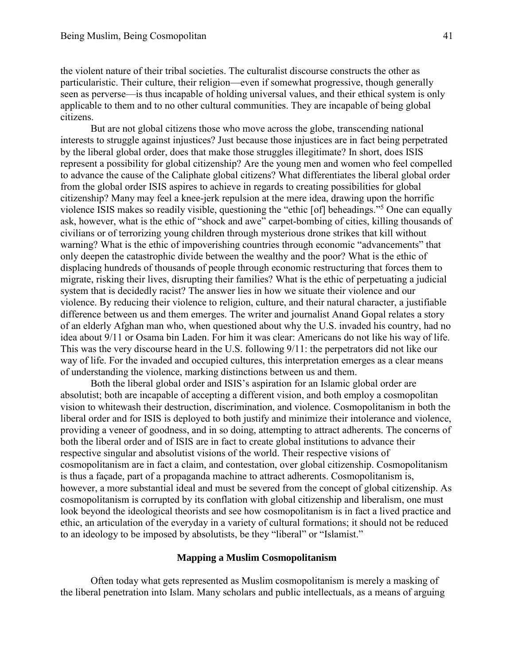the violent nature of their tribal societies. The culturalist discourse constructs the other as particularistic. Their culture, their religion—even if somewhat progressive, though generally seen as perverse—is thus incapable of holding universal values, and their ethical system is only applicable to them and to no other cultural communities. They are incapable of being global citizens.

But are not global citizens those who move across the globe, transcending national interests to struggle against injustices? Just because those injustices are in fact being perpetrated by the liberal global order, does that make those struggles illegitimate? In short, does ISIS represent a possibility for global citizenship? Are the young men and women who feel compelled to advance the cause of the Caliphate global citizens? What differentiates the liberal global order from the global order ISIS aspires to achieve in regards to creating possibilities for global citizenship? Many may feel a knee-jerk repulsion at the mere idea, drawing upon the horrific violence ISIS makes so readily visible, questioning the "ethic [of] beheadings."<sup>5</sup> One can equally ask, however, what is the ethic of "shock and awe" carpet-bombing of cities, killing thousands of civilians or of terrorizing young children through mysterious drone strikes that kill without warning? What is the ethic of impoverishing countries through economic "advancements" that only deepen the catastrophic divide between the wealthy and the poor? What is the ethic of displacing hundreds of thousands of people through economic restructuring that forces them to migrate, risking their lives, disrupting their families? What is the ethic of perpetuating a judicial system that is decidedly racist? The answer lies in how we situate their violence and our violence. By reducing their violence to religion, culture, and their natural character, a justifiable difference between us and them emerges. The writer and journalist Anand Gopal relates a story of an elderly Afghan man who, when questioned about why the U.S. invaded his country, had no idea about 9/11 or Osama bin Laden. For him it was clear: Americans do not like his way of life. This was the very discourse heard in the U.S. following 9/11: the perpetrators did not like our way of life. For the invaded and occupied cultures, this interpretation emerges as a clear means of understanding the violence, marking distinctions between us and them.

Both the liberal global order and ISIS's aspiration for an Islamic global order are absolutist; both are incapable of accepting a different vision, and both employ a cosmopolitan vision to whitewash their destruction, discrimination, and violence. Cosmopolitanism in both the liberal order and for ISIS is deployed to both justify and minimize their intolerance and violence, providing a veneer of goodness, and in so doing, attempting to attract adherents. The concerns of both the liberal order and of ISIS are in fact to create global institutions to advance their respective singular and absolutist visions of the world. Their respective visions of cosmopolitanism are in fact a claim, and contestation, over global citizenship. Cosmopolitanism is thus a façade, part of a propaganda machine to attract adherents. Cosmopolitanism is, however, a more substantial ideal and must be severed from the concept of global citizenship. As cosmopolitanism is corrupted by its conflation with global citizenship and liberalism, one must look beyond the ideological theorists and see how cosmopolitanism is in fact a lived practice and ethic, an articulation of the everyday in a variety of cultural formations; it should not be reduced to an ideology to be imposed by absolutists, be they "liberal" or "Islamist."

### **Mapping a Muslim Cosmopolitanism**

Often today what gets represented as Muslim cosmopolitanism is merely a masking of the liberal penetration into Islam. Many scholars and public intellectuals, as a means of arguing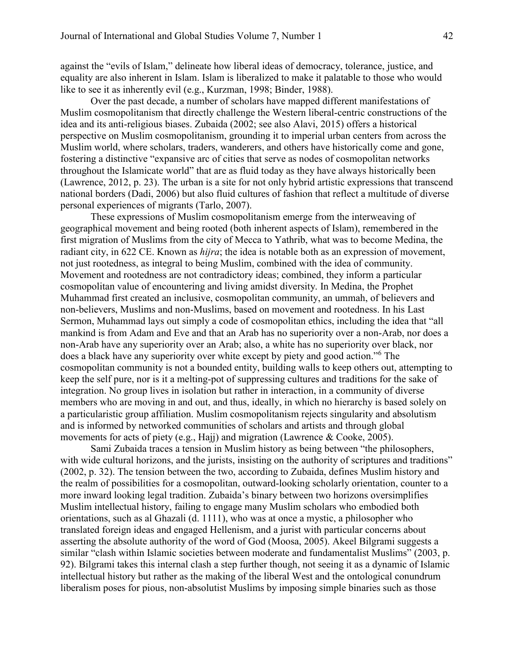against the "evils of Islam," delineate how liberal ideas of democracy, tolerance, justice, and equality are also inherent in Islam. Islam is liberalized to make it palatable to those who would like to see it as inherently evil (e.g., Kurzman, 1998; Binder, 1988).

Over the past decade, a number of scholars have mapped different manifestations of Muslim cosmopolitanism that directly challenge the Western liberal-centric constructions of the idea and its anti-religious biases. Zubaida (2002; see also Alavi, 2015) offers a historical perspective on Muslim cosmopolitanism, grounding it to imperial urban centers from across the Muslim world, where scholars, traders, wanderers, and others have historically come and gone, fostering a distinctive "expansive arc of cities that serve as nodes of cosmopolitan networks throughout the Islamicate world" that are as fluid today as they have always historically been (Lawrence, 2012, p. 23). The urban is a site for not only hybrid artistic expressions that transcend national borders (Dadi, 2006) but also fluid cultures of fashion that reflect a multitude of diverse personal experiences of migrants (Tarlo, 2007).

These expressions of Muslim cosmopolitanism emerge from the interweaving of geographical movement and being rooted (both inherent aspects of Islam), remembered in the first migration of Muslims from the city of Mecca to Yathrib, what was to become Medina, the radiant city, in 622 CE. Known as *hijra*; the idea is notable both as an expression of movement, not just rootedness, as integral to being Muslim, combined with the idea of community. Movement and rootedness are not contradictory ideas; combined, they inform a particular cosmopolitan value of encountering and living amidst diversity. In Medina, the Prophet Muhammad first created an inclusive, cosmopolitan community, an ummah, of believers and non-believers, Muslims and non-Muslims, based on movement and rootedness. In his Last Sermon, Muhammad lays out simply a code of cosmopolitan ethics, including the idea that "all mankind is from Adam and Eve and that an Arab has no superiority over a non-Arab, nor does a non-Arab have any superiority over an Arab; also, a white has no superiority over black, nor does a black have any superiority over white except by piety and good action."<sup>6</sup> The cosmopolitan community is not a bounded entity, building walls to keep others out, attempting to keep the self pure, nor is it a melting-pot of suppressing cultures and traditions for the sake of integration. No group lives in isolation but rather in interaction, in a community of diverse members who are moving in and out, and thus, ideally, in which no hierarchy is based solely on a particularistic group affiliation. Muslim cosmopolitanism rejects singularity and absolutism and is informed by networked communities of scholars and artists and through global movements for acts of piety (e.g., Hajj) and migration (Lawrence & Cooke, 2005).

Sami Zubaida traces a tension in Muslim history as being between "the philosophers, with wide cultural horizons, and the jurists, insisting on the authority of scriptures and traditions" (2002, p. 32). The tension between the two, according to Zubaida, defines Muslim history and the realm of possibilities for a cosmopolitan, outward-looking scholarly orientation, counter to a more inward looking legal tradition. Zubaida's binary between two horizons oversimplifies Muslim intellectual history, failing to engage many Muslim scholars who embodied both orientations, such as al Ghazali (d. 1111), who was at once a mystic, a philosopher who translated foreign ideas and engaged Hellenism, and a jurist with particular concerns about asserting the absolute authority of the word of God (Moosa, 2005). Akeel Bilgrami suggests a similar "clash within Islamic societies between moderate and fundamentalist Muslims" (2003, p. 92). Bilgrami takes this internal clash a step further though, not seeing it as a dynamic of Islamic intellectual history but rather as the making of the liberal West and the ontological conundrum liberalism poses for pious, non-absolutist Muslims by imposing simple binaries such as those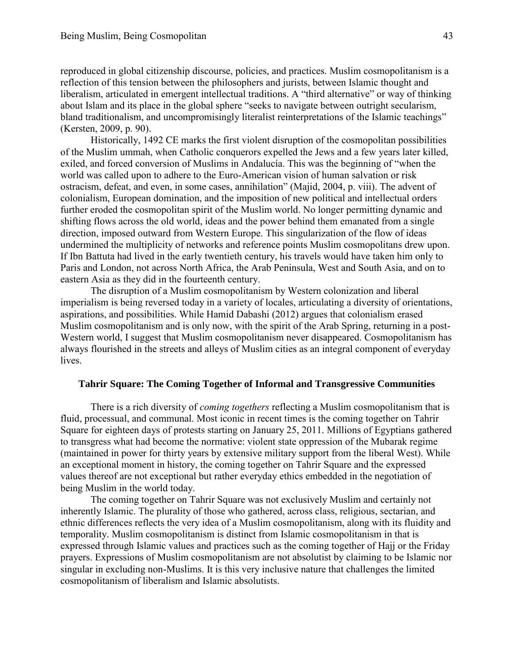reproduced in global citizenship discourse, policies, and practices. Muslim cosmopolitanism is a reflection of this tension between the philosophers and jurists, between Islamic thought and liberalism, articulated in emergent intellectual traditions. A "third alternative" or way of thinking about Islam and its place in the global sphere "seeks to navigate between outright secularism, bland traditionalism, and uncompromisingly literalist reinterpretations of the Islamic teachings" (Kersten, 2009, p. 90).

Historically, 1492 CE marks the first violent disruption of the cosmopolitan possibilities of the Muslim ummah, when Catholic conquerors expelled the Jews and a few years later killed, exiled, and forced conversion of Muslims in Andalucía. This was the beginning of "when the world was called upon to adhere to the Euro-American vision of human salvation or risk ostracism, defeat, and even, in some cases, annihilation" (Majid, 2004, p. viii). The advent of colonialism, European domination, and the imposition of new political and intellectual orders further eroded the cosmopolitan spirit of the Muslim world. No longer permitting dynamic and shifting flows across the old world, ideas and the power behind them emanated from a single direction, imposed outward from Western Europe. This singularization of the flow of ideas undermined the multiplicity of networks and reference points Muslim cosmopolitans drew upon. If Ibn Battuta had lived in the early twentieth century, his travels would have taken him only to Paris and London, not across North Africa, the Arab Peninsula, West and South Asia, and on to eastern Asia as they did in the fourteenth century.

The disruption of a Muslim cosmopolitanism by Western colonization and liberal imperialism is being reversed today in a variety of locales, articulating a diversity of orientations, aspirations, and possibilities. While Hamid Dabashi (2012) argues that colonialism erased Muslim cosmopolitanism and is only now, with the spirit of the Arab Spring, returning in a post-Western world, I suggest that Muslim cosmopolitanism never disappeared. Cosmopolitanism has always flourished in the streets and alleys of Muslim cities as an integral component of everyday lives.

## **Tahrir Square: The Coming Together of Informal and Transgressive Communities**

There is a rich diversity of *coming togethers* reflecting a Muslim cosmopolitanism that is fluid, processual, and communal. Most iconic in recent times is the coming together on Tahrir Square for eighteen days of protests starting on January 25, 2011. Millions of Egyptians gathered to transgress what had become the normative: violent state oppression of the Mubarak regime (maintained in power for thirty years by extensive military support from the liberal West). While an exceptional moment in history, the coming together on Tahrir Square and the expressed values thereof are not exceptional but rather everyday ethics embedded in the negotiation of being Muslim in the world today.

The coming together on Tahrir Square was not exclusively Muslim and certainly not inherently Islamic. The plurality of those who gathered, across class, religious, sectarian, and ethnic differences reflects the very idea of a Muslim cosmopolitanism, along with its fluidity and temporality. Muslim cosmopolitanism is distinct from Islamic cosmopolitanism in that is expressed through Islamic values and practices such as the coming together of Hajj or the Friday prayers. Expressions of Muslim cosmopolitanism are not absolutist by claiming to be Islamic nor singular in excluding non-Muslims. It is this very inclusive nature that challenges the limited cosmopolitanism of liberalism and Islamic absolutists.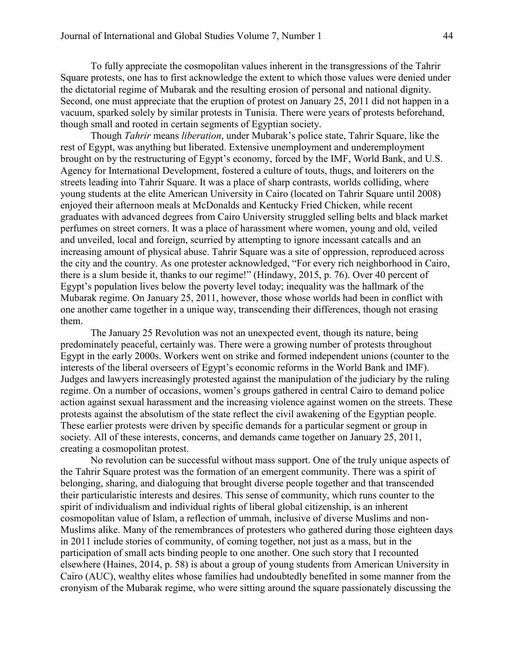To fully appreciate the cosmopolitan values inherent in the transgressions of the Tahrir Square protests, one has to first acknowledge the extent to which those values were denied under the dictatorial regime of Mubarak and the resulting erosion of personal and national dignity. Second, one must appreciate that the eruption of protest on January 25, 2011 did not happen in a vacuum, sparked solely by similar protests in Tunisia. There were years of protests beforehand, though small and rooted in certain segments of Egyptian society.

Though *Tahrir* means *liberation*, under Mubarak's police state, Tahrir Square, like the rest of Egypt, was anything but liberated. Extensive unemployment and underemployment brought on by the restructuring of Egypt's economy, forced by the IMF, World Bank, and U.S. Agency for International Development, fostered a culture of touts, thugs, and loiterers on the streets leading into Tahrir Square. It was a place of sharp contrasts, worlds colliding, where young students at the elite American University in Cairo (located on Tahrir Square until 2008) enjoyed their afternoon meals at McDonalds and Kentucky Fried Chicken, while recent graduates with advanced degrees from Cairo University struggled selling belts and black market perfumes on street corners. It was a place of harassment where women, young and old, veiled and unveiled, local and foreign, scurried by attempting to ignore incessant catcalls and an increasing amount of physical abuse. Tahrir Square was a site of oppression, reproduced across the city and the country. As one protester acknowledged, "For every rich neighborhood in Cairo, there is a slum beside it, thanks to our regime!" (Hindawy, 2015, p. 76). Over 40 percent of Egypt's population lives below the poverty level today; inequality was the hallmark of the Mubarak regime. On January 25, 2011, however, those whose worlds had been in conflict with one another came together in a unique way, transcending their differences, though not erasing them.

The January 25 Revolution was not an unexpected event, though its nature, being predominately peaceful, certainly was. There were a growing number of protests throughout Egypt in the early 2000s. Workers went on strike and formed independent unions (counter to the interests of the liberal overseers of Egypt's economic reforms in the World Bank and IMF). Judges and lawyers increasingly protested against the manipulation of the judiciary by the ruling regime. On a number of occasions, women's groups gathered in central Cairo to demand police action against sexual harassment and the increasing violence against women on the streets. These protests against the absolutism of the state reflect the civil awakening of the Egyptian people. These earlier protests were driven by specific demands for a particular segment or group in society. All of these interests, concerns, and demands came together on January 25, 2011, creating a cosmopolitan protest.

No revolution can be successful without mass support. One of the truly unique aspects of the Tahrir Square protest was the formation of an emergent community. There was a spirit of belonging, sharing, and dialoguing that brought diverse people together and that transcended their particularistic interests and desires. This sense of community, which runs counter to the spirit of individualism and individual rights of liberal global citizenship, is an inherent cosmopolitan value of Islam, a reflection of ummah, inclusive of diverse Muslims and non-Muslims alike. Many of the remembrances of protesters who gathered during those eighteen days in 2011 include stories of community, of coming together, not just as a mass, but in the participation of small acts binding people to one another. One such story that I recounted elsewhere (Haines, 2014, p. 58) is about a group of young students from American University in Cairo (AUC), wealthy elites whose families had undoubtedly benefited in some manner from the cronyism of the Mubarak regime, who were sitting around the square passionately discussing the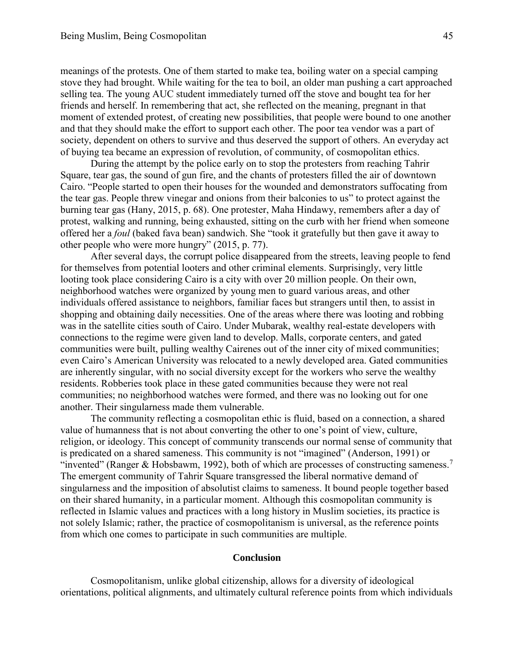meanings of the protests. One of them started to make tea, boiling water on a special camping stove they had brought. While waiting for the tea to boil, an older man pushing a cart approached selling tea. The young AUC student immediately turned off the stove and bought tea for her friends and herself. In remembering that act, she reflected on the meaning, pregnant in that moment of extended protest, of creating new possibilities, that people were bound to one another and that they should make the effort to support each other. The poor tea vendor was a part of society, dependent on others to survive and thus deserved the support of others. An everyday act of buying tea became an expression of revolution, of community, of cosmopolitan ethics.

During the attempt by the police early on to stop the protesters from reaching Tahrir Square, tear gas, the sound of gun fire, and the chants of protesters filled the air of downtown Cairo. "People started to open their houses for the wounded and demonstrators suffocating from the tear gas. People threw vinegar and onions from their balconies to us" to protect against the burning tear gas (Hany, 2015, p. 68). One protester, Maha Hindawy, remembers after a day of protest, walking and running, being exhausted, sitting on the curb with her friend when someone offered her a *foul* (baked fava bean) sandwich. She "took it gratefully but then gave it away to other people who were more hungry" (2015, p. 77).

After several days, the corrupt police disappeared from the streets, leaving people to fend for themselves from potential looters and other criminal elements. Surprisingly, very little looting took place considering Cairo is a city with over 20 million people. On their own, neighborhood watches were organized by young men to guard various areas, and other individuals offered assistance to neighbors, familiar faces but strangers until then, to assist in shopping and obtaining daily necessities. One of the areas where there was looting and robbing was in the satellite cities south of Cairo. Under Mubarak, wealthy real-estate developers with connections to the regime were given land to develop. Malls, corporate centers, and gated communities were built, pulling wealthy Cairenes out of the inner city of mixed communities; even Cairo's American University was relocated to a newly developed area. Gated communities are inherently singular, with no social diversity except for the workers who serve the wealthy residents. Robberies took place in these gated communities because they were not real communities; no neighborhood watches were formed, and there was no looking out for one another. Their singularness made them vulnerable.

The community reflecting a cosmopolitan ethic is fluid, based on a connection, a shared value of humanness that is not about converting the other to one's point of view, culture, religion, or ideology. This concept of community transcends our normal sense of community that is predicated on a shared sameness. This community is not "imagined" (Anderson, 1991) or "invented" (Ranger & Hobsbawm, 1992), both of which are processes of constructing sameness.<sup>7</sup> The emergent community of Tahrir Square transgressed the liberal normative demand of singularness and the imposition of absolutist claims to sameness. It bound people together based on their shared humanity, in a particular moment. Although this cosmopolitan community is reflected in Islamic values and practices with a long history in Muslim societies, its practice is not solely Islamic; rather, the practice of cosmopolitanism is universal, as the reference points from which one comes to participate in such communities are multiple.

### **Conclusion**

Cosmopolitanism, unlike global citizenship, allows for a diversity of ideological orientations, political alignments, and ultimately cultural reference points from which individuals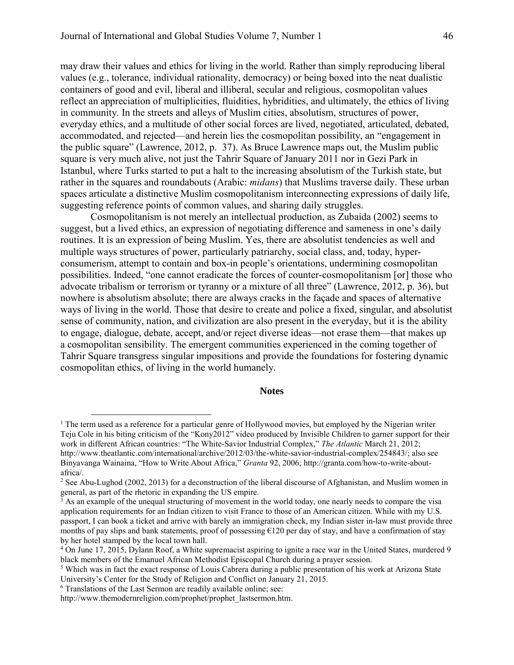may draw their values and ethics for living in the world. Rather than simply reproducing liberal values (e.g., tolerance, individual rationality, democracy) or being boxed into the neat dualistic containers of good and evil, liberal and illiberal, secular and religious, cosmopolitan values reflect an appreciation of multiplicities, fluidities, hybridities, and ultimately, the ethics of living in community. In the streets and alleys of Muslim cities, absolutism, structures of power, everyday ethics, and a multitude of other social forces are lived, negotiated, articulated, debated, accommodated, and rejected—and herein lies the cosmopolitan possibility, an "engagement in the public square" (Lawrence, 2012, p. 37). As Bruce Lawrence maps out, the Muslim public square is very much alive, not just the Tahrir Square of January 2011 nor in Gezi Park in Istanbul, where Turks started to put a halt to the increasing absolutism of the Turkish state, but rather in the squares and roundabouts (Arabic: *midans*) that Muslims traverse daily. These urban spaces articulate a distinctive Muslim cosmopolitanism interconnecting expressions of daily life, suggesting reference points of common values, and sharing daily struggles.

Cosmopolitanism is not merely an intellectual production, as Zubaida (2002) seems to suggest, but a lived ethics, an expression of negotiating difference and sameness in one's daily routines. It is an expression of being Muslim. Yes, there are absolutist tendencies as well and multiple ways structures of power, particularly patriarchy, social class, and, today, hyperconsumerism, attempt to contain and box-in people's orientations, undermining cosmopolitan possibilities. Indeed, "one cannot eradicate the forces of counter-cosmopolitanism [or] those who advocate tribalism or terrorism or tyranny or a mixture of all three" (Lawrence, 2012, p. 36), but nowhere is absolutism absolute; there are always cracks in the façade and spaces of alternative ways of living in the world. Those that desire to create and police a fixed, singular, and absolutist sense of community, nation, and civilization are also present in the everyday, but it is the ability to engage, dialogue, debate, accept, and/or reject diverse ideas—not erase them—that makes up a cosmopolitan sensibility. The emergent communities experienced in the coming together of Tahrir Square transgress singular impositions and provide the foundations for fostering dynamic cosmopolitan ethics, of living in the world humanely.

#### **Notes**

 $\overline{a}$ 

<sup>&</sup>lt;sup>1</sup> The term used as a reference for a particular genre of Hollywood movies, but employed by the Nigerian writer Teju Cole in his biting criticism of the "Kony2012" video produced by Invisible Children to garner support for their work in different African countries: "The White-Savior Industrial Complex," *The Atlantic* March 21, 2012; http://www.theatlantic.com/international/archive/2012/03/the-white-savior-industrial-complex/254843/; also see Binyavanga Wainaina, "How to Write About Africa," *Granta* 92, 2006; http://granta.com/how-to-write-aboutafrica/.

<sup>&</sup>lt;sup>2</sup> See Abu-Lughod (2002, 2013) for a deconstruction of the liberal discourse of Afghanistan, and Muslim women in

general, as part of the rhetoric in expanding the US empire.<br><sup>3</sup> As an example of the unequal structuring of movement in the world today, one nearly needs to compare the visa application requirements for an Indian citizen to visit France to those of an American citizen. While with my U.S. passport, I can book a ticket and arrive with barely an immigration check, my Indian sister in-law must provide three months of pay slips and bank statements, proof of possessing  $E120$  per day of stay, and have a confirmation of stay by her hotel stamped by the local town hall.

<sup>4</sup> On June 17, 2015, Dylann Roof, a White supremacist aspiring to ignite a race war in the United States, murdered 9 black members of the Emanuel African Methodist Episcopal Church during a prayer session.

<sup>&</sup>lt;sup>5</sup> Which was in fact the exact response of Louis Cabrera during a public presentation of his work at Arizona State University's Center for the Study of Religion and Conflict on January 21, 2015.

<sup>6</sup> Translations of the Last Sermon are readily available online; see:

http://www.themodernreligion.com/prophet/prophet\_lastsermon.htm.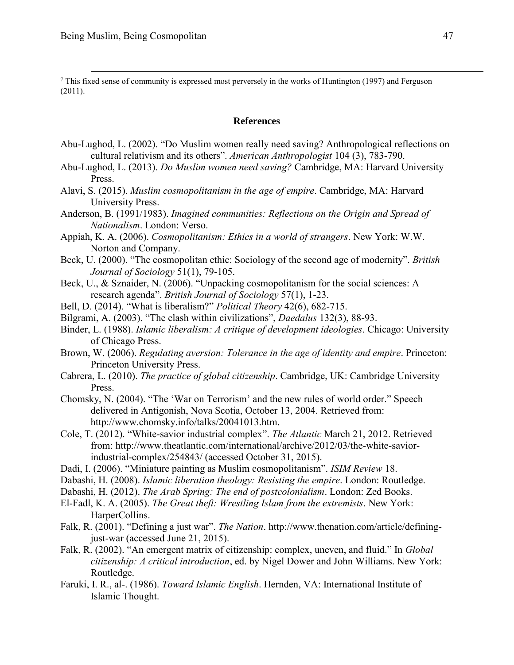$\overline{a}$ 

<sup>7</sup> This fixed sense of community is expressed most perversely in the works of Huntington (1997) and Ferguson (2011).

### **References**

- Abu-Lughod, L. (2002). "Do Muslim women really need saving? Anthropological reflections on cultural relativism and its others". *American Anthropologist* 104 (3), 783-790.
- Abu-Lughod, L. (2013). *Do Muslim women need saving?* Cambridge, MA: Harvard University Press.
- Alavi, S. (2015). *Muslim cosmopolitanism in the age of empire*. Cambridge, MA: Harvard University Press.
- Anderson, B. (1991/1983). *Imagined communities: Reflections on the Origin and Spread of Nationalism*. London: Verso.
- Appiah, K. A. (2006). *Cosmopolitanism: Ethics in a world of strangers*. New York: W.W. Norton and Company.
- Beck, U. (2000). "The cosmopolitan ethic: Sociology of the second age of modernity". *British Journal of Sociology* 51(1), 79-105.
- Beck, U., & Sznaider, N. (2006). "Unpacking cosmopolitanism for the social sciences: A research agenda". *British Journal of Sociology* 57(1), 1-23.
- Bell, D. (2014). "What is liberalism?" *Political Theory* 42(6), 682-715.
- Bilgrami, A. (2003). "The clash within civilizations", *Daedalus* 132(3), 88-93.
- Binder, L. (1988). *Islamic liberalism: A critique of development ideologies*. Chicago: University of Chicago Press.
- Brown, W. (2006). *Regulating aversion: Tolerance in the age of identity and empire*. Princeton: Princeton University Press.
- Cabrera, L. (2010). *The practice of global citizenship*. Cambridge, UK: Cambridge University Press.
- Chomsky, N. (2004). "The 'War on Terrorism' and the new rules of world order." Speech delivered in Antigonish, Nova Scotia, October 13, 2004. Retrieved from: http://www.chomsky.info/talks/20041013.htm.
- Cole, T. (2012). "White-savior industrial complex". *The Atlantic* March 21, 2012. Retrieved from: http://www.theatlantic.com/international/archive/2012/03/the-white-saviorindustrial-complex/254843/ (accessed October 31, 2015).
- Dadi, I. (2006). "Miniature painting as Muslim cosmopolitanism". *ISIM Review* 18.
- Dabashi, H. (2008). *Islamic liberation theology: Resisting the empire*. London: Routledge.
- Dabashi, H. (2012). *The Arab Spring: The end of postcolonialism*. London: Zed Books.
- El-Fadl, K. A. (2005). *The Great theft: Wrestling Islam from the extremists*. New York: HarperCollins.
- Falk, R. (2001). "Defining a just war". *The Nation*. http://www.thenation.com/article/definingjust-war (accessed June 21, 2015).
- Falk, R. (2002). "An emergent matrix of citizenship: complex, uneven, and fluid." In *Global citizenship: A critical introduction*, ed. by Nigel Dower and John Williams. New York: Routledge.
- Faruki, I. R., al-. (1986). *Toward Islamic English*. Hernden, VA: International Institute of Islamic Thought.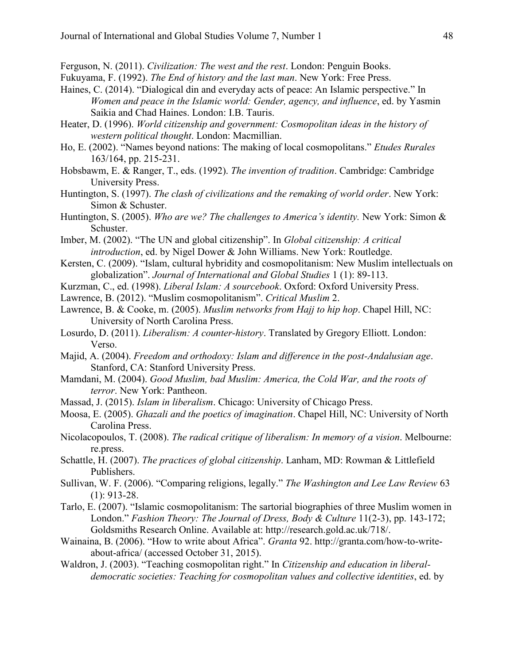Ferguson, N. (2011). *Civilization: The west and the rest*. London: Penguin Books.

- Fukuyama, F. (1992). *The End of history and the last man*. New York: Free Press.
- Haines, C. (2014). "Dialogical din and everyday acts of peace: An Islamic perspective." In *Women and peace in the Islamic world: Gender, agency, and influence*, ed. by Yasmin Saikia and Chad Haines. London: I.B. Tauris.
- Heater, D. (1996). *World citizenship and government: Cosmopolitan ideas in the history of western political thought*. London: Macmillian.
- Ho, E. (2002). "Names beyond nations: The making of local cosmopolitans." *Etudes Rurales* 163/164, pp. 215-231.
- Hobsbawm, E. & Ranger, T., eds. (1992). *The invention of tradition*. Cambridge: Cambridge University Press.
- Huntington, S. (1997). *The clash of civilizations and the remaking of world order*. New York: Simon & Schuster.
- Huntington, S. (2005). *Who are we? The challenges to America's identity.* New York: Simon & Schuster.
- Imber, M. (2002). "The UN and global citizenship". In *Global citizenship: A critical introduction*, ed. by Nigel Dower & John Williams. New York: Routledge.
- Kersten, C. (2009). "Islam, cultural hybridity and cosmopolitanism: New Muslim intellectuals on globalization". *Journal of International and Global Studies* 1 (1): 89-113.
- Kurzman, C., ed. (1998). *Liberal Islam: A sourcebook*. Oxford: Oxford University Press.
- Lawrence, B. (2012). "Muslim cosmopolitanism". *Critical Muslim* 2.
- Lawrence, B. & Cooke, m. (2005). *Muslim networks from Hajj to hip hop*. Chapel Hill, NC: University of North Carolina Press.
- Losurdo, D. (2011). *Liberalism: A counter-history*. Translated by Gregory Elliott. London: Verso.
- Majid, A. (2004). *Freedom and orthodoxy: Islam and difference in the post-Andalusian age*. Stanford, CA: Stanford University Press.
- Mamdani, M. (2004). *Good Muslim, bad Muslim: America, the Cold War, and the roots of terror*. New York: Pantheon.
- Massad, J. (2015). *Islam in liberalism*. Chicago: University of Chicago Press.
- Moosa, E. (2005). *Ghazali and the poetics of imagination*. Chapel Hill, NC: University of North Carolina Press.
- Nicolacopoulos, T. (2008). *The radical critique of liberalism: In memory of a vision*. Melbourne: re.press.
- Schattle, H. (2007). *The practices of global citizenship*. Lanham, MD: Rowman & Littlefield Publishers.
- Sullivan, W. F. (2006). "Comparing religions, legally." *The Washington and Lee Law Review* 63 (1): 913-28.
- Tarlo, E. (2007). "Islamic cosmopolitanism: The sartorial biographies of three Muslim women in London." *Fashion Theory: The Journal of Dress, Body & Culture* 11(2-3), pp. 143-172; Goldsmiths Research Online. Available at: http://research.gold.ac.uk/718/.
- Wainaina, B. (2006). "How to write about Africa". *Granta* 92. http://granta.com/how-to-writeabout-africa/ (accessed October 31, 2015).
- Waldron, J. (2003). "Teaching cosmopolitan right." In *Citizenship and education in liberaldemocratic societies: Teaching for cosmopolitan values and collective identities*, ed. by